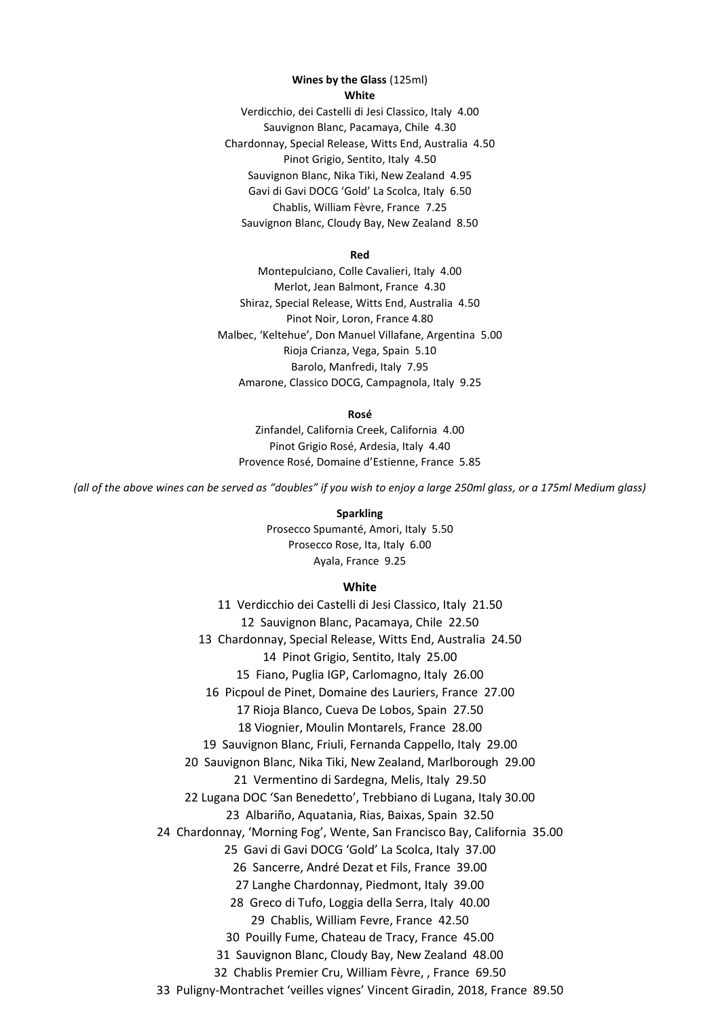#### **Wines by the Glass** (125ml) **White**

Verdicchio, dei Castelli di Jesi Classico, Italy 4.00 Sauvignon Blanc, Pacamaya, Chile 4.30 Chardonnay, Special Release, Witts End, Australia 4.50 Pinot Grigio, Sentito, Italy 4.50 Sauvignon Blanc, Nika Tiki, New Zealand 4.95 Gavi di Gavi DOCG 'Gold' La Scolca, Italy 6.50 Chablis, William Fèvre, France 7.25 Sauvignon Blanc, Cloudy Bay, New Zealand 8.50

### **Red**

Montepulciano, Colle Cavalieri, Italy 4.00 Merlot, Jean Balmont, France 4.30 Shiraz, Special Release, Witts End, Australia 4.50 Pinot Noir, Loron, France 4.80 Malbec, 'Keltehue', Don Manuel Villafane, Argentina 5.00 Rioja Crianza, Vega, Spain 5.10 Barolo, Manfredi, Italy 7.95 Amarone, Classico DOCG, Campagnola, Italy 9.25

### **Rosé**

Zinfandel, California Creek, California 4.00 Pinot Grigio Rosé, Ardesia, Italy 4.40 Provence Rosé, Domaine d'Estienne, France 5.85

*(all of the above wines can be served as "doubles" if you wish to enjoy a large 250ml glass, or a 175ml Medium glass)*

**Sparkling**

Prosecco Spumanté, Amori, Italy 5.50 Prosecco Rose, Ita, Italy 6.00 Ayala, France 9.25

### **White**

11 Verdicchio dei Castelli di Jesi Classico, Italy 21.50 12 Sauvignon Blanc, Pacamaya, Chile 22.50 13 Chardonnay, Special Release, Witts End, Australia 24.50 14 Pinot Grigio, Sentito, Italy 25.00 15 Fiano, Puglia IGP, Carlomagno, Italy 26.00 16 Picpoul de Pinet, Domaine des Lauriers, France 27.00 17 Rioja Blanco, Cueva De Lobos, Spain 27.50 18 Viognier, Moulin Montarels, France 28.00 19 Sauvignon Blanc, Friuli, Fernanda Cappello, Italy 29.00 20 Sauvignon Blanc, Nika Tiki, New Zealand, Marlborough 29.00 21 Vermentino di Sardegna, Melis, Italy 29.50 22 Lugana DOC 'San Benedetto', Trebbiano di Lugana, Italy 30.00 23 Albariño, Aquatania, Rias, Baixas, Spain 32.50 24 Chardonnay, 'Morning Fog', Wente, San Francisco Bay, California 35.00 25 Gavi di Gavi DOCG 'Gold' La Scolca, Italy 37.00 26 Sancerre, André Dezat et Fils, France 39.00 27 Langhe Chardonnay, Piedmont, Italy 39.00 28 Greco di Tufo, Loggia della Serra, Italy 40.00 29 Chablis, William Fevre, France 42.50 30 Pouilly Fume, Chateau de Tracy, France 45.00 31 Sauvignon Blanc, Cloudy Bay, New Zealand 48.00 32 Chablis Premier Cru, William Fèvre, , France 69.50 33 Puligny-Montrachet 'veilles vignes' Vincent Giradin, 2018, France 89.50